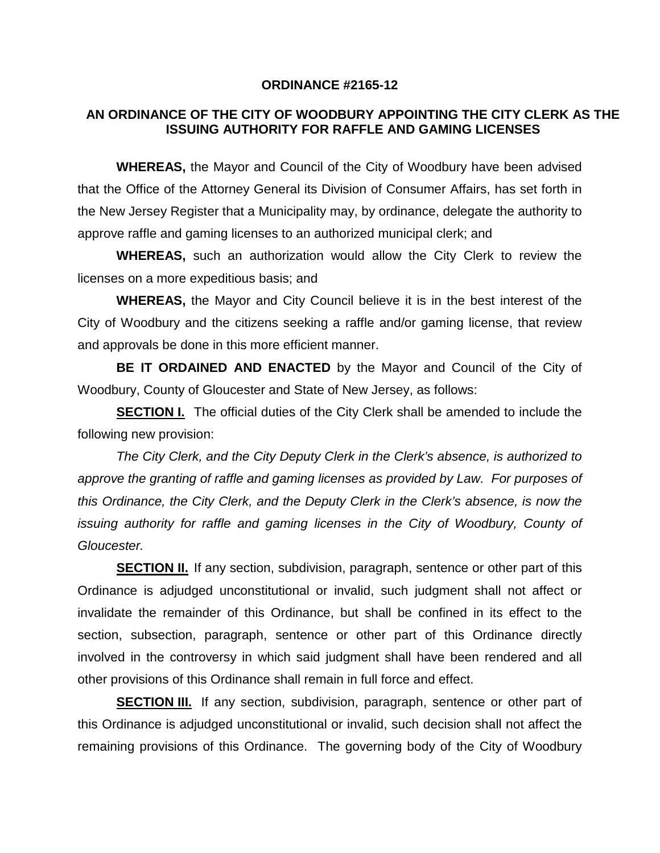## **ORDINANCE #2165-12**

## **AN ORDINANCE OF THE CITY OF WOODBURY APPOINTING THE CITY CLERK AS THE ISSUING AUTHORITY FOR RAFFLE AND GAMING LICENSES**

**WHEREAS,** the Mayor and Council of the City of Woodbury have been advised that the Office of the Attorney General its Division of Consumer Affairs, has set forth in the New Jersey Register that a Municipality may, by ordinance, delegate the authority to approve raffle and gaming licenses to an authorized municipal clerk; and

**WHEREAS,** such an authorization would allow the City Clerk to review the licenses on a more expeditious basis; and

**WHEREAS,** the Mayor and City Council believe it is in the best interest of the City of Woodbury and the citizens seeking a raffle and/or gaming license, that review and approvals be done in this more efficient manner.

**BE IT ORDAINED AND ENACTED** by the Mayor and Council of the City of Woodbury, County of Gloucester and State of New Jersey, as follows:

**SECTION I.** The official duties of the City Clerk shall be amended to include the following new provision:

*The City Clerk, and the City Deputy Clerk in the Clerk's absence, is authorized to approve the granting of raffle and gaming licenses as provided by Law. For purposes of this Ordinance, the City Clerk, and the Deputy Clerk in the Clerk's absence, is now the issuing authority for raffle and gaming licenses in the City of Woodbury, County of Gloucester.*

**SECTION II.** If any section, subdivision, paragraph, sentence or other part of this Ordinance is adjudged unconstitutional or invalid, such judgment shall not affect or invalidate the remainder of this Ordinance, but shall be confined in its effect to the section, subsection, paragraph, sentence or other part of this Ordinance directly involved in the controversy in which said judgment shall have been rendered and all other provisions of this Ordinance shall remain in full force and effect.

**SECTION III.** If any section, subdivision, paragraph, sentence or other part of this Ordinance is adjudged unconstitutional or invalid, such decision shall not affect the remaining provisions of this Ordinance. The governing body of the City of Woodbury